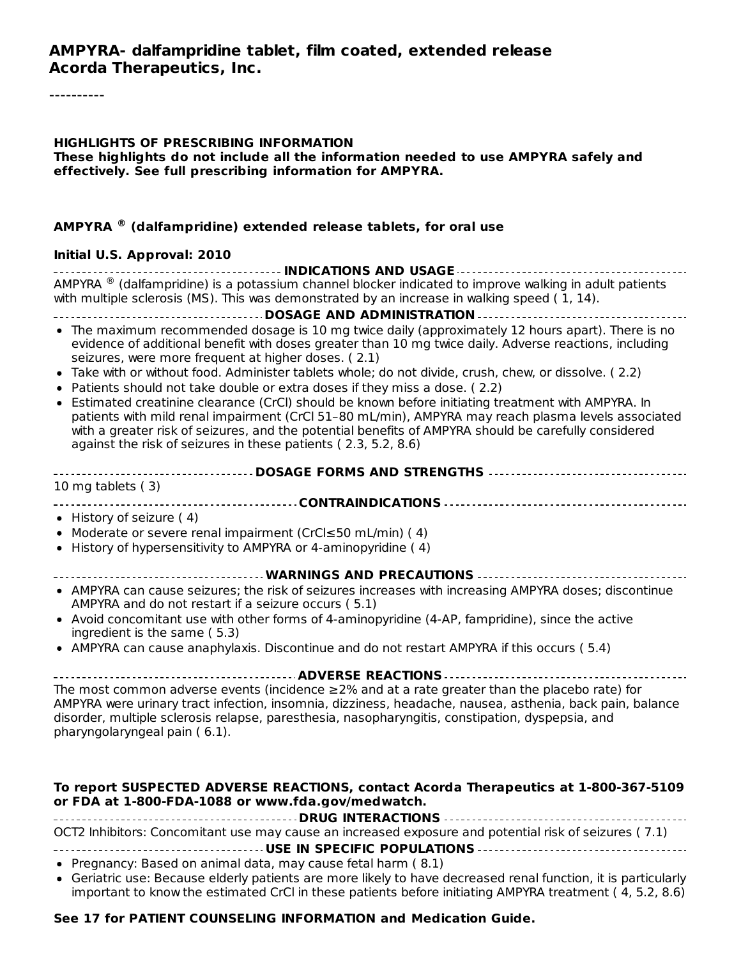#### **HIGHLIGHTS OF PRESCRIBING INFORMATION**

**These highlights do not include all the information needed to use AMPYRA safely and effectively. See full prescribing information for AMPYRA.**

#### **AMPYRA (dalfampridine) extended release tablets, for oral use ®**

#### **Initial U.S. Approval: 2010**

**INDICATIONS AND USAGE** AMPYRA  $^{\circledR}$  (dalfampridine) is a potassium channel blocker indicated to improve walking in adult patients with multiple sclerosis (MS). This was demonstrated by an increase in walking speed (1, 14).

**DOSAGE AND ADMINISTRATION** The maximum recommended dosage is 10 mg twice daily (approximately 12 hours apart). There is no evidence of additional benefit with doses greater than 10 mg twice daily. Adverse reactions, including seizures, were more frequent at higher doses. ( 2.1)

- Take with or without food. Administer tablets whole; do not divide, crush, chew, or dissolve. ( 2.2)
- Patients should not take double or extra doses if they miss a dose. ( 2.2)
- Estimated creatinine clearance (CrCl) should be known before initiating treatment with AMPYRA. In patients with mild renal impairment (CrCl 51–80 mL/min), AMPYRA may reach plasma levels associated with a greater risk of seizures, and the potential benefits of AMPYRA should be carefully considered against the risk of seizures in these patients ( 2.3, 5.2, 8.6)

| ------------------------------------- DOSAGE FORMS AND STRENGTHS ----------------------------------- |  |  |  |  |
|------------------------------------------------------------------------------------------------------|--|--|--|--|
| 10 mg tablets (3)                                                                                    |  |  |  |  |
|                                                                                                      |  |  |  |  |
| • History of seizure $(4)$                                                                           |  |  |  |  |
| • Moderate or severe renal impairment (CrCl $\leq$ 50 mL/min) (4)                                    |  |  |  |  |

- History of hypersensitivity to AMPYRA or 4-aminopyridine ( 4)
- **WARNINGS AND PRECAUTIONS**
- AMPYRA can cause seizures; the risk of seizures increases with increasing AMPYRA doses; discontinue AMPYRA and do not restart if a seizure occurs ( 5.1)
- Avoid concomitant use with other forms of 4-aminopyridine (4-AP, fampridine), since the active ingredient is the same ( 5.3)
- AMPYRA can cause anaphylaxis. Discontinue and do not restart AMPYRA if this occurs ( 5.4)

#### **ADVERSE REACTIONS** The most common adverse events (incidence  $\geq$ 2% and at a rate greater than the placebo rate) for AMPYRA were urinary tract infection, insomnia, dizziness, headache, nausea, asthenia, back pain, balance

disorder, multiple sclerosis relapse, paresthesia, nasopharyngitis, constipation, dyspepsia, and pharyngolaryngeal pain ( 6.1).

#### **To report SUSPECTED ADVERSE REACTIONS, contact Acorda Therapeutics at 1-800-367-5109 or FDA at 1-800-FDA-1088 or www.fda.gov/medwatch.**

**DRUG INTERACTIONS** OCT2 Inhibitors: Concomitant use may cause an increased exposure and potential risk of seizures ( 7.1)

**USE IN SPECIFIC POPULATIONS**

- Pregnancy: Based on animal data, may cause fetal harm (8.1)
- Geriatric use: Because elderly patients are more likely to have decreased renal function, it is particularly important to know the estimated CrCl in these patients before initiating AMPYRA treatment ( 4, 5.2, 8.6)

#### **See 17 for PATIENT COUNSELING INFORMATION and Medication Guide.**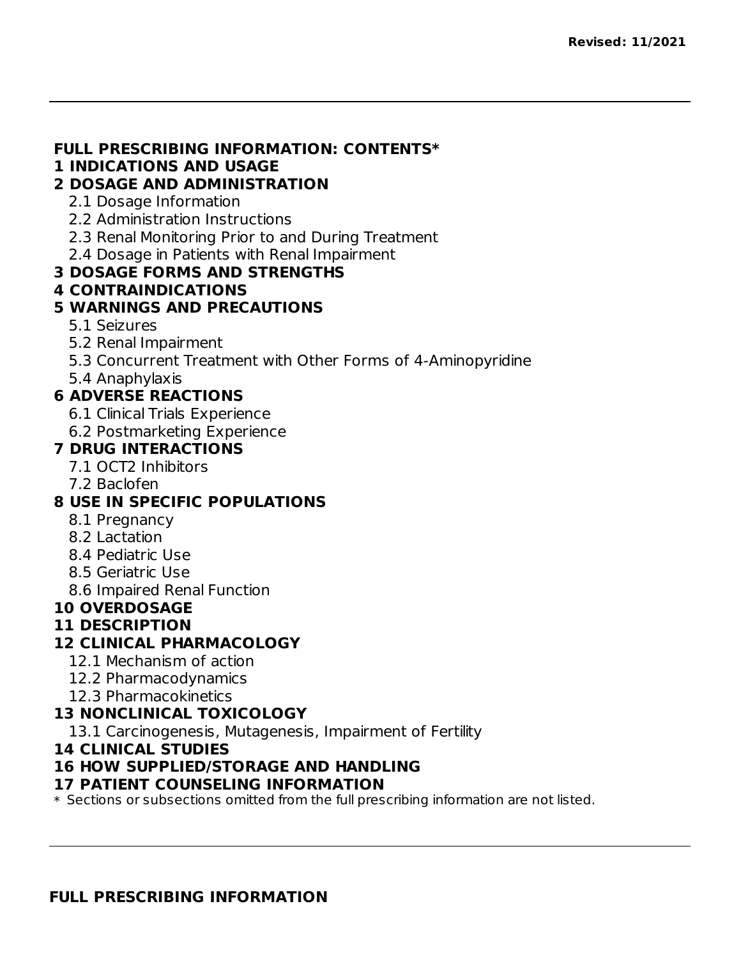#### **FULL PRESCRIBING INFORMATION: CONTENTS\***

#### **1 INDICATIONS AND USAGE**

#### **2 DOSAGE AND ADMINISTRATION**

- 2.1 Dosage Information
- 2.2 Administration Instructions
- 2.3 Renal Monitoring Prior to and During Treatment
- 2.4 Dosage in Patients with Renal Impairment

#### **3 DOSAGE FORMS AND STRENGTHS**

#### **4 CONTRAINDICATIONS**

#### **5 WARNINGS AND PRECAUTIONS**

- 5.1 Seizures
- 5.2 Renal Impairment
- 5.3 Concurrent Treatment with Other Forms of 4-Aminopyridine
- 5.4 Anaphylaxis

#### **6 ADVERSE REACTIONS**

- 6.1 Clinical Trials Experience
- 6.2 Postmarketing Experience

#### **7 DRUG INTERACTIONS**

- 7.1 OCT2 Inhibitors
- 7.2 Baclofen

#### **8 USE IN SPECIFIC POPULATIONS**

- 8.1 Pregnancy
- 8.2 Lactation
- 8.4 Pediatric Use
- 8.5 Geriatric Use
- 8.6 Impaired Renal Function

### **10 OVERDOSAGE**

#### **11 DESCRIPTION**

#### **12 CLINICAL PHARMACOLOGY**

- 12.1 Mechanism of action
- 12.2 Pharmacodynamics
- 12.3 Pharmacokinetics

### **13 NONCLINICAL TOXICOLOGY**

13.1 Carcinogenesis, Mutagenesis, Impairment of Fertility

#### **14 CLINICAL STUDIES**

#### **16 HOW SUPPLIED/STORAGE AND HANDLING**

#### **17 PATIENT COUNSELING INFORMATION**

 $\ast$  Sections or subsections omitted from the full prescribing information are not listed.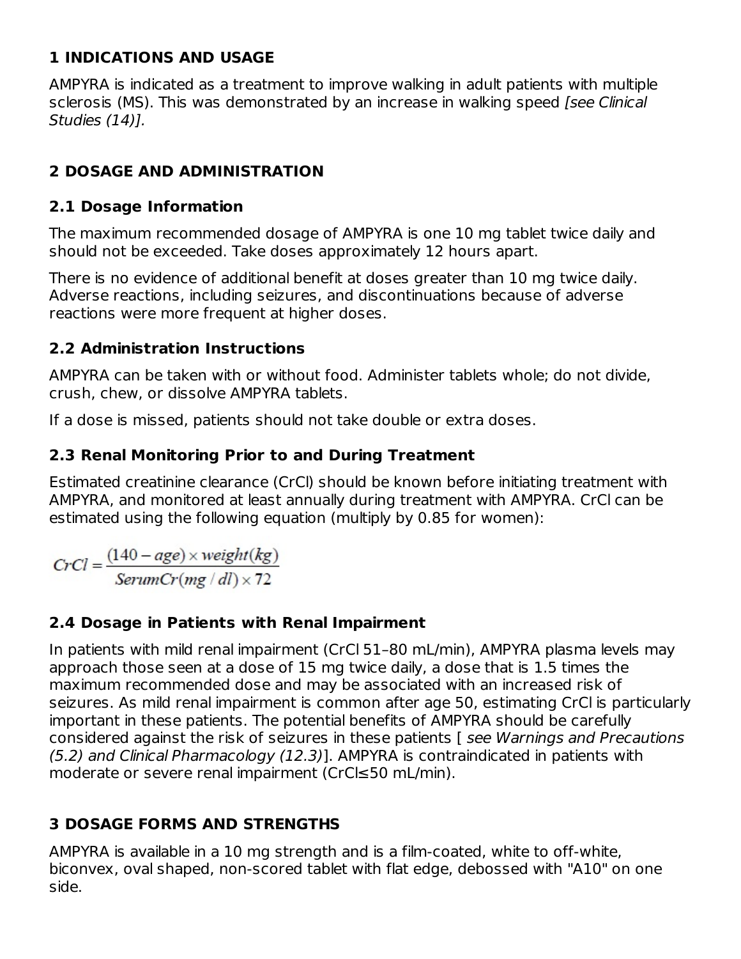### **1 INDICATIONS AND USAGE**

AMPYRA is indicated as a treatment to improve walking in adult patients with multiple sclerosis (MS). This was demonstrated by an increase in walking speed [see Clinical Studies (14)].

## **2 DOSAGE AND ADMINISTRATION**

### **2.1 Dosage Information**

The maximum recommended dosage of AMPYRA is one 10 mg tablet twice daily and should not be exceeded. Take doses approximately 12 hours apart.

There is no evidence of additional benefit at doses greater than 10 mg twice daily. Adverse reactions, including seizures, and discontinuations because of adverse reactions were more frequent at higher doses.

### **2.2 Administration Instructions**

AMPYRA can be taken with or without food. Administer tablets whole; do not divide, crush, chew, or dissolve AMPYRA tablets.

If a dose is missed, patients should not take double or extra doses.

### **2.3 Renal Monitoring Prior to and During Treatment**

Estimated creatinine clearance (CrCl) should be known before initiating treatment with AMPYRA, and monitored at least annually during treatment with AMPYRA. CrCl can be estimated using the following equation (multiply by 0.85 for women):

 $CrCl = \frac{(140 - age) \times weight(kg)}{SerumCr(mg / dl) \times 72}$ 

### **2.4 Dosage in Patients with Renal Impairment**

In patients with mild renal impairment (CrCl 51–80 mL/min), AMPYRA plasma levels may approach those seen at a dose of 15 mg twice daily, a dose that is 1.5 times the maximum recommended dose and may be associated with an increased risk of seizures. As mild renal impairment is common after age 50, estimating CrCl is particularly important in these patients. The potential benefits of AMPYRA should be carefully considered against the risk of seizures in these patients [ see Warnings and Precautions (5.2) and Clinical Pharmacology (12.3)]. AMPYRA is contraindicated in patients with moderate or severe renal impairment (CrCl≤50 mL/min).

## **3 DOSAGE FORMS AND STRENGTHS**

AMPYRA is available in a 10 mg strength and is a film-coated, white to off-white, biconvex, oval shaped, non-scored tablet with flat edge, debossed with "A10" on one side.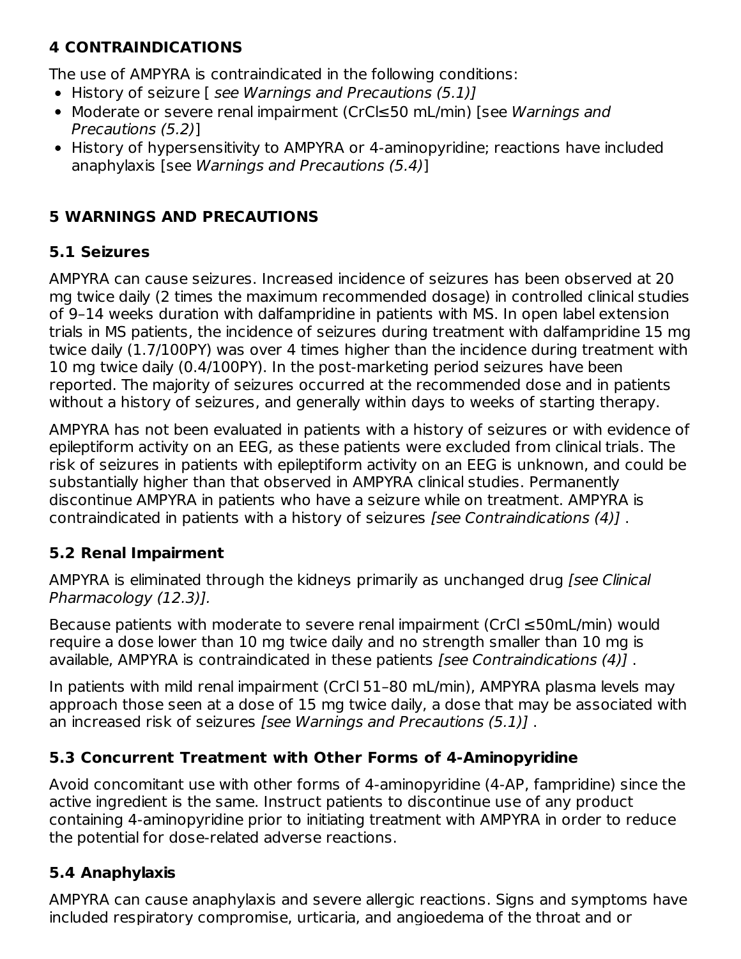## **4 CONTRAINDICATIONS**

The use of AMPYRA is contraindicated in the following conditions:

- History of seizure [ see Warnings and Precautions (5.1)]
- Moderate or severe renal impairment (CrCl≤50 mL/min) [see Warnings and Precautions (5.2)]
- History of hypersensitivity to AMPYRA or 4-aminopyridine; reactions have included anaphylaxis [see Warnings and Precautions (5.4)]

### **5 WARNINGS AND PRECAUTIONS**

## **5.1 Seizures**

AMPYRA can cause seizures. Increased incidence of seizures has been observed at 20 mg twice daily (2 times the maximum recommended dosage) in controlled clinical studies of 9–14 weeks duration with dalfampridine in patients with MS. In open label extension trials in MS patients, the incidence of seizures during treatment with dalfampridine 15 mg twice daily (1.7/100PY) was over 4 times higher than the incidence during treatment with 10 mg twice daily (0.4/100PY). In the post-marketing period seizures have been reported. The majority of seizures occurred at the recommended dose and in patients without a history of seizures, and generally within days to weeks of starting therapy.

AMPYRA has not been evaluated in patients with a history of seizures or with evidence of epileptiform activity on an EEG, as these patients were excluded from clinical trials. The risk of seizures in patients with epileptiform activity on an EEG is unknown, and could be substantially higher than that observed in AMPYRA clinical studies. Permanently discontinue AMPYRA in patients who have a seizure while on treatment. AMPYRA is contraindicated in patients with a history of seizures [see Contraindications (4)] .

### **5.2 Renal Impairment**

AMPYRA is eliminated through the kidneys primarily as unchanged drug [see Clinical Pharmacology (12.3)].

Because patients with moderate to severe renal impairment (CrCl ≤50mL/min) would require a dose lower than 10 mg twice daily and no strength smaller than 10 mg is available, AMPYRA is contraindicated in these patients *[see Contraindications (4)]*.

In patients with mild renal impairment (CrCl 51–80 mL/min), AMPYRA plasma levels may approach those seen at a dose of 15 mg twice daily, a dose that may be associated with an increased risk of seizures [see Warnings and Precautions (5.1)] .

### **5.3 Concurrent Treatment with Other Forms of 4-Aminopyridine**

Avoid concomitant use with other forms of 4-aminopyridine (4-AP, fampridine) since the active ingredient is the same. Instruct patients to discontinue use of any product containing 4-aminopyridine prior to initiating treatment with AMPYRA in order to reduce the potential for dose-related adverse reactions.

### **5.4 Anaphylaxis**

AMPYRA can cause anaphylaxis and severe allergic reactions. Signs and symptoms have included respiratory compromise, urticaria, and angioedema of the throat and or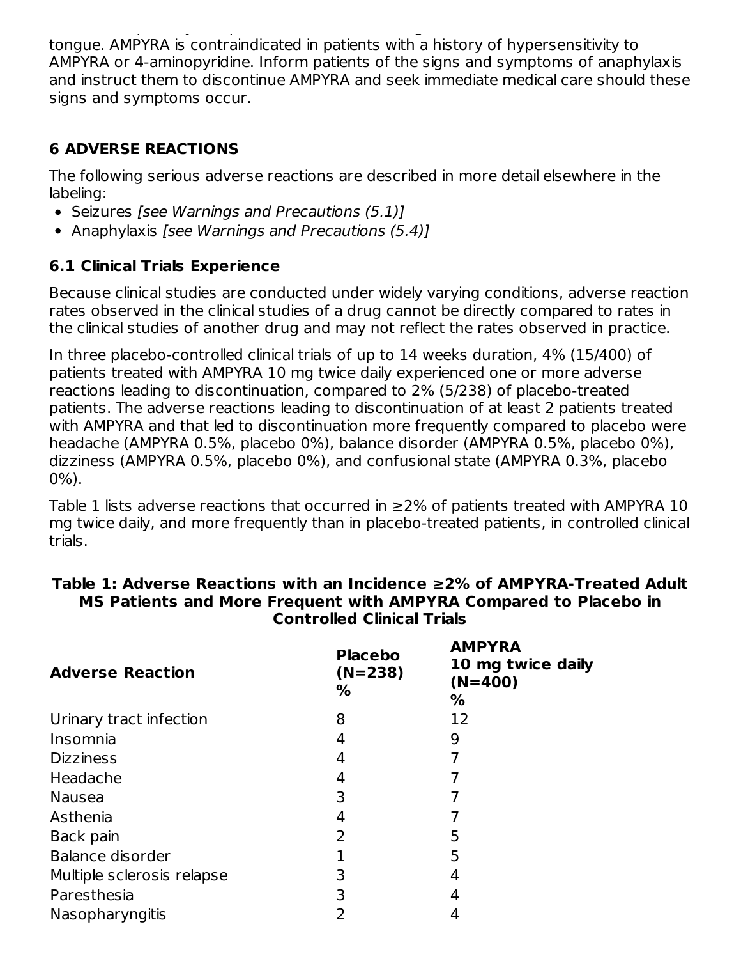included respiratory compromise, urticaria, and angioedema of the throat and or tongue. AMPYRA is contraindicated in patients with a history of hypersensitivity to AMPYRA or 4-aminopyridine. Inform patients of the signs and symptoms of anaphylaxis and instruct them to discontinue AMPYRA and seek immediate medical care should these signs and symptoms occur.

### **6 ADVERSE REACTIONS**

The following serious adverse reactions are described in more detail elsewhere in the labeling:

- Seizures [see Warnings and Precautions (5.1)]
- Anaphylaxis [see Warnings and Precautions  $(5.4)$ ]

## **6.1 Clinical Trials Experience**

Because clinical studies are conducted under widely varying conditions, adverse reaction rates observed in the clinical studies of a drug cannot be directly compared to rates in the clinical studies of another drug and may not reflect the rates observed in practice.

In three placebo-controlled clinical trials of up to 14 weeks duration, 4% (15/400) of patients treated with AMPYRA 10 mg twice daily experienced one or more adverse reactions leading to discontinuation, compared to 2% (5/238) of placebo-treated patients. The adverse reactions leading to discontinuation of at least 2 patients treated with AMPYRA and that led to discontinuation more frequently compared to placebo were headache (AMPYRA 0.5%, placebo 0%), balance disorder (AMPYRA 0.5%, placebo 0%), dizziness (AMPYRA 0.5%, placebo 0%), and confusional state (AMPYRA 0.3%, placebo 0%).

Table 1 lists adverse reactions that occurred in  $\geq$ 2% of patients treated with AMPYRA 10 mg twice daily, and more frequently than in placebo-treated patients, in controlled clinical trials.

| <b>Adverse Reaction</b>    | <b>Placebo</b><br>$(N=238)$<br>% | <b>AMPYRA</b><br>10 mg twice daily<br>$(N=400)$<br>℅ |
|----------------------------|----------------------------------|------------------------------------------------------|
| Urinary tract infection    | 8                                | 12                                                   |
| Insomnia                   | 4                                | 9                                                    |
| <b>Dizziness</b>           | 4                                |                                                      |
| Headache                   | 4                                |                                                      |
| <b>Nausea</b>              | 3                                |                                                      |
| Asthenia                   | 4                                |                                                      |
| Back pain                  | 2                                | 5                                                    |
| Balance disorder           |                                  | 5                                                    |
| Multiple sclerosis relapse | 3                                | 4                                                    |
| Paresthesia                | 3                                | 4                                                    |
| Nasopharyngitis            |                                  |                                                      |

#### **Table 1: Adverse Reactions with an Incidence ≥2% of AMPYRA-Treated Adult MS Patients and More Frequent with AMPYRA Compared to Placebo in Controlled Clinical Trials**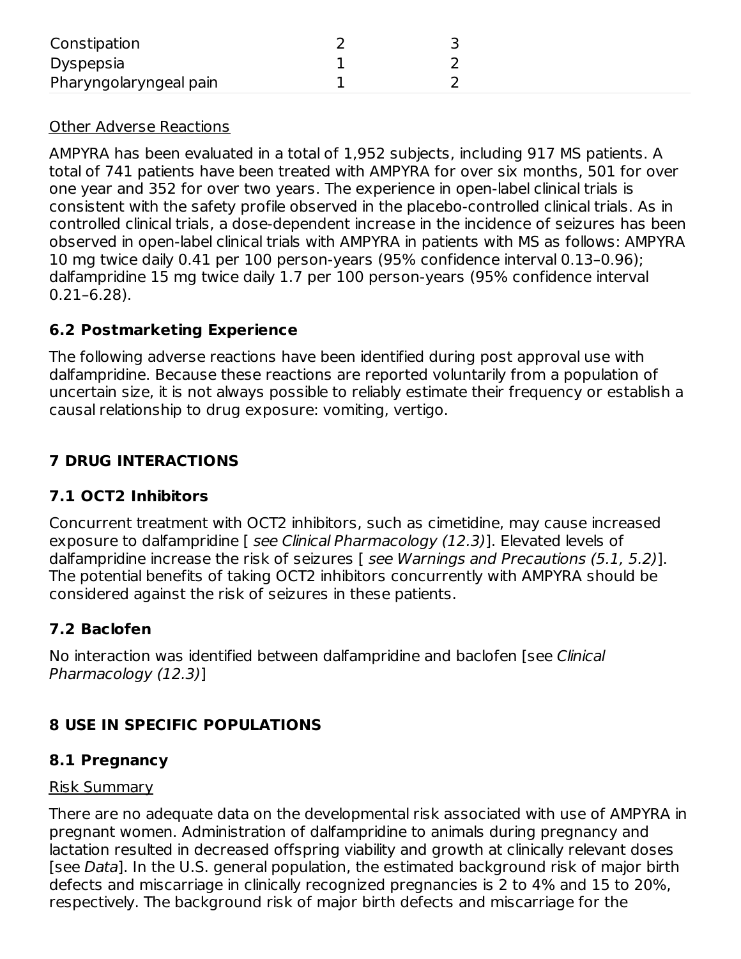| Constipation           |  |
|------------------------|--|
| Dyspepsia              |  |
| Pharyngolaryngeal pain |  |

#### Other Adverse Reactions

AMPYRA has been evaluated in a total of 1,952 subjects, including 917 MS patients. A total of 741 patients have been treated with AMPYRA for over six months, 501 for over one year and 352 for over two years. The experience in open-label clinical trials is consistent with the safety profile observed in the placebo-controlled clinical trials. As in controlled clinical trials, a dose-dependent increase in the incidence of seizures has been observed in open-label clinical trials with AMPYRA in patients with MS as follows: AMPYRA 10 mg twice daily 0.41 per 100 person-years (95% confidence interval 0.13–0.96); dalfampridine 15 mg twice daily 1.7 per 100 person-years (95% confidence interval 0.21–6.28).

#### **6.2 Postmarketing Experience**

The following adverse reactions have been identified during post approval use with dalfampridine. Because these reactions are reported voluntarily from a population of uncertain size, it is not always possible to reliably estimate their frequency or establish a causal relationship to drug exposure: vomiting, vertigo.

### **7 DRUG INTERACTIONS**

#### **7.1 OCT2 Inhibitors**

Concurrent treatment with OCT2 inhibitors, such as cimetidine, may cause increased exposure to dalfampridine [ see Clinical Pharmacology (12.3)]. Elevated levels of dalfampridine increase the risk of seizures [ see Warnings and Precautions (5.1, 5.2)]. The potential benefits of taking OCT2 inhibitors concurrently with AMPYRA should be considered against the risk of seizures in these patients.

### **7.2 Baclofen**

No interaction was identified between dalfampridine and baclofen [see Clinical Pharmacology (12.3)]

### **8 USE IN SPECIFIC POPULATIONS**

#### **8.1 Pregnancy**

#### Risk Summary

There are no adequate data on the developmental risk associated with use of AMPYRA in pregnant women. Administration of dalfampridine to animals during pregnancy and lactation resulted in decreased offspring viability and growth at clinically relevant doses [see Data]. In the U.S. general population, the estimated background risk of major birth defects and miscarriage in clinically recognized pregnancies is 2 to 4% and 15 to 20%, respectively. The background risk of major birth defects and miscarriage for the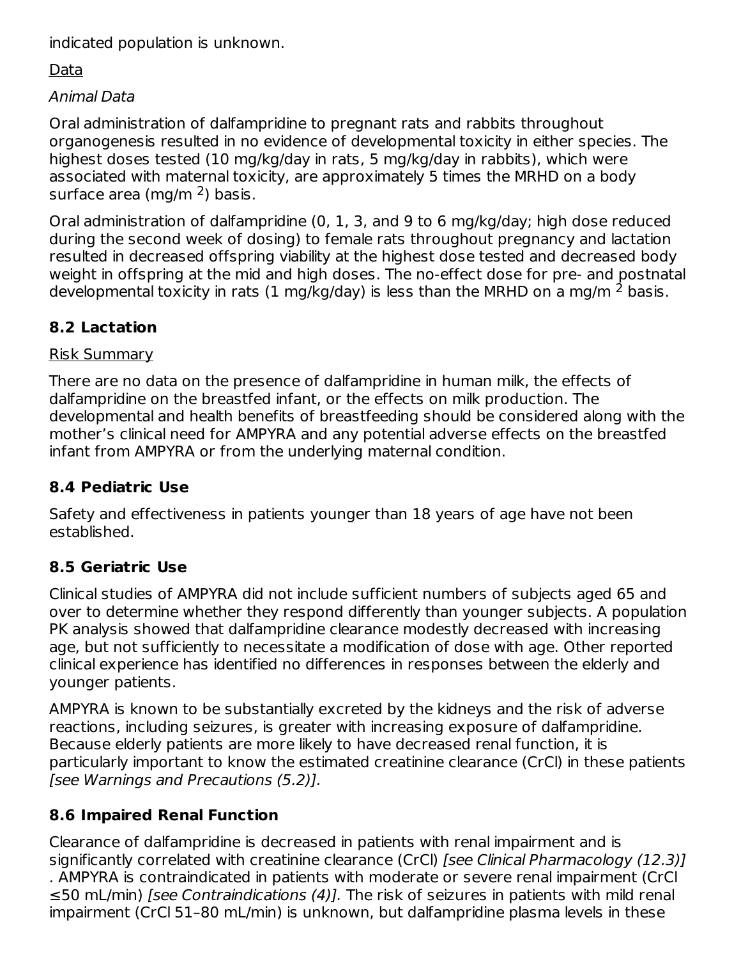indicated population is unknown.

### Data

### Animal Data

Oral administration of dalfampridine to pregnant rats and rabbits throughout organogenesis resulted in no evidence of developmental toxicity in either species. The highest doses tested (10 mg/kg/day in rats, 5 mg/kg/day in rabbits), which were associated with maternal toxicity, are approximately 5 times the MRHD on a body surface area (mg/m <sup>2</sup>) basis.

Oral administration of dalfampridine (0, 1, 3, and 9 to 6 mg/kg/day; high dose reduced during the second week of dosing) to female rats throughout pregnancy and lactation resulted in decreased offspring viability at the highest dose tested and decreased body weight in offspring at the mid and high doses. The no-effect dose for pre- and postnatal developmental toxicity in rats (1 mg/kg/day) is less than the MRHD on a mg/m  $^2$  basis.

## **8.2 Lactation**

### Risk Summary

There are no data on the presence of dalfampridine in human milk, the effects of dalfampridine on the breastfed infant, or the effects on milk production. The developmental and health benefits of breastfeeding should be considered along with the mother's clinical need for AMPYRA and any potential adverse effects on the breastfed infant from AMPYRA or from the underlying maternal condition.

### **8.4 Pediatric Use**

Safety and effectiveness in patients younger than 18 years of age have not been established.

### **8.5 Geriatric Use**

Clinical studies of AMPYRA did not include sufficient numbers of subjects aged 65 and over to determine whether they respond differently than younger subjects. A population PK analysis showed that dalfampridine clearance modestly decreased with increasing age, but not sufficiently to necessitate a modification of dose with age. Other reported clinical experience has identified no differences in responses between the elderly and younger patients.

AMPYRA is known to be substantially excreted by the kidneys and the risk of adverse reactions, including seizures, is greater with increasing exposure of dalfampridine. Because elderly patients are more likely to have decreased renal function, it is particularly important to know the estimated creatinine clearance (CrCl) in these patients [see Warnings and Precautions (5.2)].

### **8.6 Impaired Renal Function**

Clearance of dalfampridine is decreased in patients with renal impairment and is significantly correlated with creatinine clearance (CrCl) [see Clinical Pharmacology (12.3)] . AMPYRA is contraindicated in patients with moderate or severe renal impairment (CrCl ≤50 mL/min) [see Contraindications (4)]. The risk of seizures in patients with mild renal impairment (CrCl 51–80 mL/min) is unknown, but dalfampridine plasma levels in these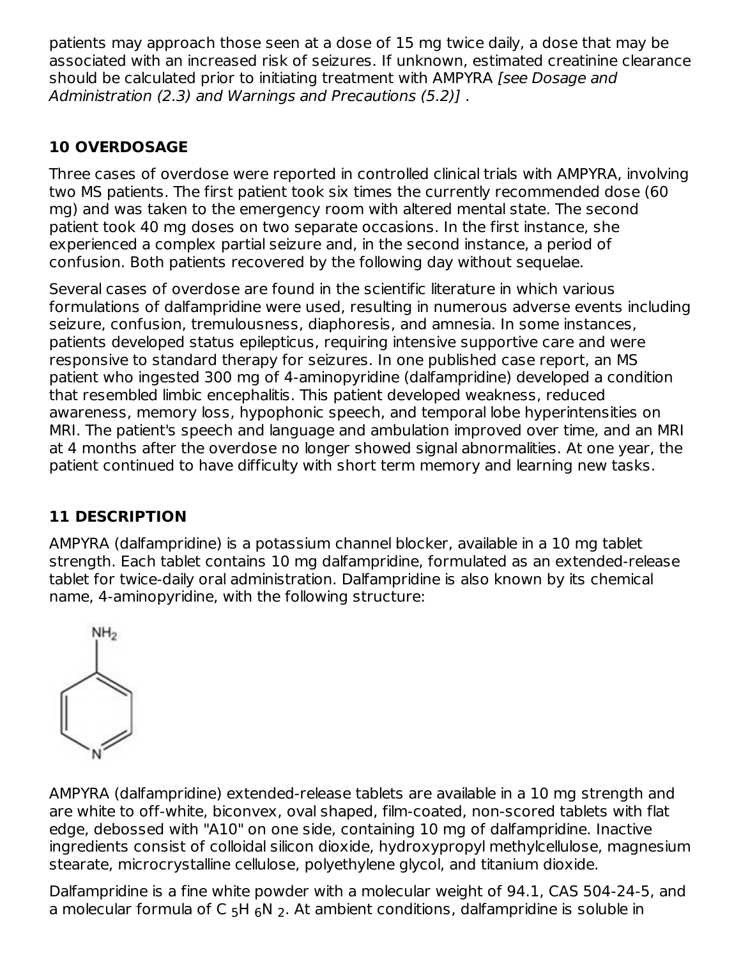patients may approach those seen at a dose of 15 mg twice daily, a dose that may be associated with an increased risk of seizures. If unknown, estimated creatinine clearance should be calculated prior to initiating treatment with AMPYRA [see Dosage and Administration (2.3) and Warnings and Precautions (5.2)] .

### **10 OVERDOSAGE**

Three cases of overdose were reported in controlled clinical trials with AMPYRA, involving two MS patients. The first patient took six times the currently recommended dose (60 mg) and was taken to the emergency room with altered mental state. The second patient took 40 mg doses on two separate occasions. In the first instance, she experienced a complex partial seizure and, in the second instance, a period of confusion. Both patients recovered by the following day without sequelae.

Several cases of overdose are found in the scientific literature in which various formulations of dalfampridine were used, resulting in numerous adverse events including seizure, confusion, tremulousness, diaphoresis, and amnesia. In some instances, patients developed status epilepticus, requiring intensive supportive care and were responsive to standard therapy for seizures. In one published case report, an MS patient who ingested 300 mg of 4-aminopyridine (dalfampridine) developed a condition that resembled limbic encephalitis. This patient developed weakness, reduced awareness, memory loss, hypophonic speech, and temporal lobe hyperintensities on MRI. The patient's speech and language and ambulation improved over time, and an MRI at 4 months after the overdose no longer showed signal abnormalities. At one year, the patient continued to have difficulty with short term memory and learning new tasks.

### **11 DESCRIPTION**

AMPYRA (dalfampridine) is a potassium channel blocker, available in a 10 mg tablet strength. Each tablet contains 10 mg dalfampridine, formulated as an extended-release tablet for twice-daily oral administration. Dalfampridine is also known by its chemical name, 4-aminopyridine, with the following structure:



AMPYRA (dalfampridine) extended-release tablets are available in a 10 mg strength and are white to off-white, biconvex, oval shaped, film-coated, non-scored tablets with flat edge, debossed with "A10" on one side, containing 10 mg of dalfampridine. Inactive ingredients consist of colloidal silicon dioxide, hydroxypropyl methylcellulose, magnesium stearate, microcrystalline cellulose, polyethylene glycol, and titanium dioxide.

Dalfampridine is a fine white powder with a molecular weight of 94.1, CAS 504-24-5, and a molecular formula of C  $5H_6N_2$ . At ambient conditions, dalfampridine is soluble in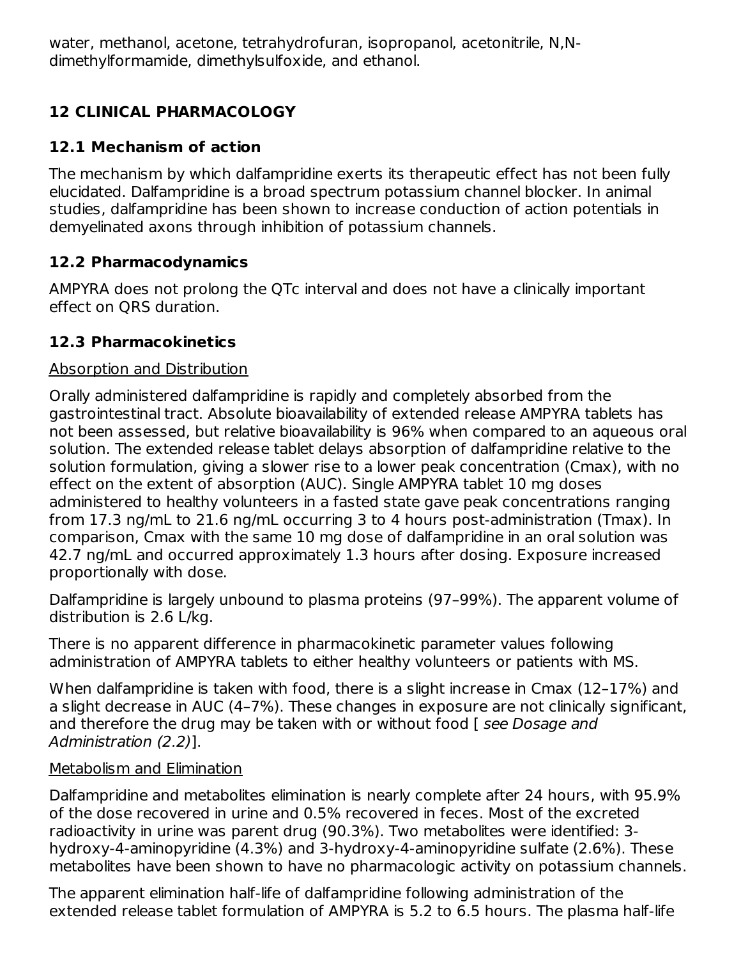water, methanol, acetone, tetrahydrofuran, isopropanol, acetonitrile, N,Ndimethylformamide, dimethylsulfoxide, and ethanol. 5 6 2

## **12 CLINICAL PHARMACOLOGY**

### **12.1 Mechanism of action**

The mechanism by which dalfampridine exerts its therapeutic effect has not been fully elucidated. Dalfampridine is a broad spectrum potassium channel blocker. In animal studies, dalfampridine has been shown to increase conduction of action potentials in demyelinated axons through inhibition of potassium channels.

### **12.2 Pharmacodynamics**

AMPYRA does not prolong the QTc interval and does not have a clinically important effect on QRS duration.

### **12.3 Pharmacokinetics**

#### Absorption and Distribution

Orally administered dalfampridine is rapidly and completely absorbed from the gastrointestinal tract. Absolute bioavailability of extended release AMPYRA tablets has not been assessed, but relative bioavailability is 96% when compared to an aqueous oral solution. The extended release tablet delays absorption of dalfampridine relative to the solution formulation, giving a slower rise to a lower peak concentration (Cmax), with no effect on the extent of absorption (AUC). Single AMPYRA tablet 10 mg doses administered to healthy volunteers in a fasted state gave peak concentrations ranging from 17.3 ng/mL to 21.6 ng/mL occurring 3 to 4 hours post-administration (Tmax). In comparison, Cmax with the same 10 mg dose of dalfampridine in an oral solution was 42.7 ng/mL and occurred approximately 1.3 hours after dosing. Exposure increased proportionally with dose.

Dalfampridine is largely unbound to plasma proteins (97–99%). The apparent volume of distribution is 2.6 L/kg.

There is no apparent difference in pharmacokinetic parameter values following administration of AMPYRA tablets to either healthy volunteers or patients with MS.

When dalfampridine is taken with food, there is a slight increase in Cmax (12–17%) and a slight decrease in AUC (4–7%). These changes in exposure are not clinically significant, and therefore the drug may be taken with or without food [see Dosage and Administration (2.2)].

#### Metabolism and Elimination

Dalfampridine and metabolites elimination is nearly complete after 24 hours, with 95.9% of the dose recovered in urine and 0.5% recovered in feces. Most of the excreted radioactivity in urine was parent drug (90.3%). Two metabolites were identified: 3 hydroxy-4-aminopyridine (4.3%) and 3-hydroxy-4-aminopyridine sulfate (2.6%). These metabolites have been shown to have no pharmacologic activity on potassium channels.

The apparent elimination half-life of dalfampridine following administration of the extended release tablet formulation of AMPYRA is 5.2 to 6.5 hours. The plasma half-life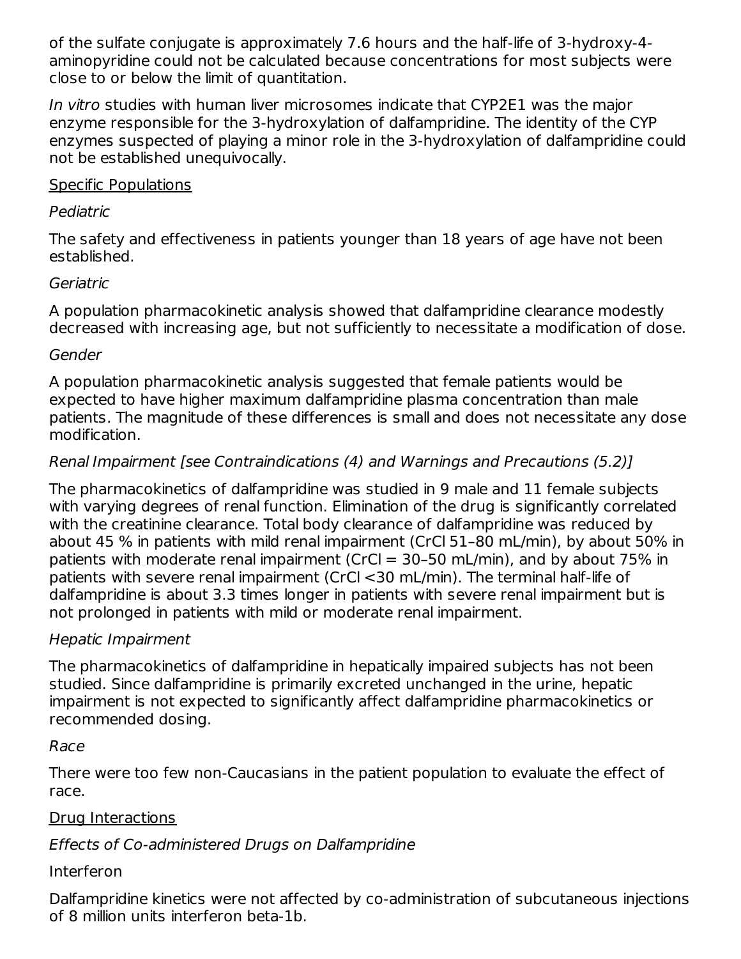of the sulfate conjugate is approximately 7.6 hours and the half-life of 3-hydroxy-4 aminopyridine could not be calculated because concentrations for most subjects were close to or below the limit of quantitation.

In vitro studies with human liver microsomes indicate that CYP2E1 was the major enzyme responsible for the 3-hydroxylation of dalfampridine. The identity of the CYP enzymes suspected of playing a minor role in the 3-hydroxylation of dalfampridine could not be established unequivocally.

#### Specific Populations

#### Pediatric

The safety and effectiveness in patients younger than 18 years of age have not been established.

### Geriatric

A population pharmacokinetic analysis showed that dalfampridine clearance modestly decreased with increasing age, but not sufficiently to necessitate a modification of dose.

#### Gender

A population pharmacokinetic analysis suggested that female patients would be expected to have higher maximum dalfampridine plasma concentration than male patients. The magnitude of these differences is small and does not necessitate any dose modification.

### Renal Impairment [see Contraindications (4) and Warnings and Precautions (5.2)]

The pharmacokinetics of dalfampridine was studied in 9 male and 11 female subjects with varying degrees of renal function. Elimination of the drug is significantly correlated with the creatinine clearance. Total body clearance of dalfampridine was reduced by about 45 % in patients with mild renal impairment (CrCl 51–80 mL/min), by about 50% in patients with moderate renal impairment (CrCl = 30–50 mL/min), and by about 75% in patients with severe renal impairment (CrCl <30 mL/min). The terminal half-life of dalfampridine is about 3.3 times longer in patients with severe renal impairment but is not prolonged in patients with mild or moderate renal impairment.

#### Hepatic Impairment

The pharmacokinetics of dalfampridine in hepatically impaired subjects has not been studied. Since dalfampridine is primarily excreted unchanged in the urine, hepatic impairment is not expected to significantly affect dalfampridine pharmacokinetics or recommended dosing.

### Race

There were too few non-Caucasians in the patient population to evaluate the effect of race.

### Drug Interactions

### Effects of Co-administered Drugs on Dalfampridine

### Interferon

Dalfampridine kinetics were not affected by co-administration of subcutaneous injections of 8 million units interferon beta-1b.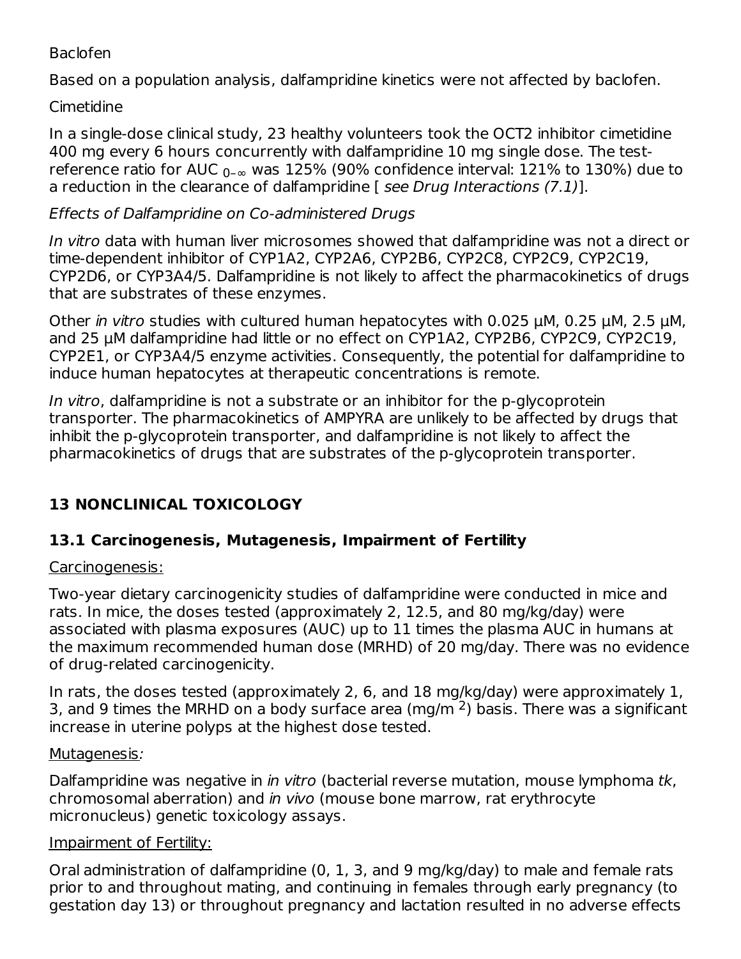#### Baclofen

Based on a population analysis, dalfampridine kinetics were not affected by baclofen.

### Cimetidine

In a single-dose clinical study, 23 healthy volunteers took the OCT2 inhibitor cimetidine 400 mg every 6 hours concurrently with dalfampridine 10 mg single dose. The testreference ratio for AUC  $_{0-{\infty}}$  was 125% (90% confidence interval: 121% to 130%) due to a reduction in the clearance of dalfampridine [ see Drug Interactions (7.1)].

### Effects of Dalfampridine on Co-administered Drugs

In vitro data with human liver microsomes showed that dalfampridine was not a direct or time-dependent inhibitor of CYP1A2, CYP2A6, CYP2B6, CYP2C8, CYP2C9, CYP2C19, CYP2D6, or CYP3A4/5. Dalfampridine is not likely to affect the pharmacokinetics of drugs that are substrates of these enzymes.

Other in vitro studies with cultured human hepatocytes with  $0.025 \mu$ M,  $0.25 \mu$ M,  $2.5 \mu$ M, and 25 μM dalfampridine had little or no effect on CYP1A2, CYP2B6, CYP2C9, CYP2C19, CYP2E1, or CYP3A4/5 enzyme activities. Consequently, the potential for dalfampridine to induce human hepatocytes at therapeutic concentrations is remote.

In vitro, dalfampridine is not a substrate or an inhibitor for the p-glycoprotein transporter. The pharmacokinetics of AMPYRA are unlikely to be affected by drugs that inhibit the p-glycoprotein transporter, and dalfampridine is not likely to affect the pharmacokinetics of drugs that are substrates of the p-glycoprotein transporter.

## **13 NONCLINICAL TOXICOLOGY**

### **13.1 Carcinogenesis, Mutagenesis, Impairment of Fertility**

### Carcinogenesis:

Two-year dietary carcinogenicity studies of dalfampridine were conducted in mice and rats. In mice, the doses tested (approximately 2, 12.5, and 80 mg/kg/day) were associated with plasma exposures (AUC) up to 11 times the plasma AUC in humans at the maximum recommended human dose (MRHD) of 20 mg/day. There was no evidence of drug-related carcinogenicity.

In rats, the doses tested (approximately 2, 6, and 18 mg/kg/day) were approximately 1, 3, and 9 times the MRHD on a body surface area (mg/m  $2$ ) basis. There was a significant increase in uterine polyps at the highest dose tested.

### Mutagenesis:

Dalfampridine was negative in *in vitro* (bacterial reverse mutation, mouse lymphoma tk, chromosomal aberration) and in vivo (mouse bone marrow, rat erythrocyte micronucleus) genetic toxicology assays.

### Impairment of Fertility:

Oral administration of dalfampridine (0, 1, 3, and 9 mg/kg/day) to male and female rats prior to and throughout mating, and continuing in females through early pregnancy (to gestation day 13) or throughout pregnancy and lactation resulted in no adverse effects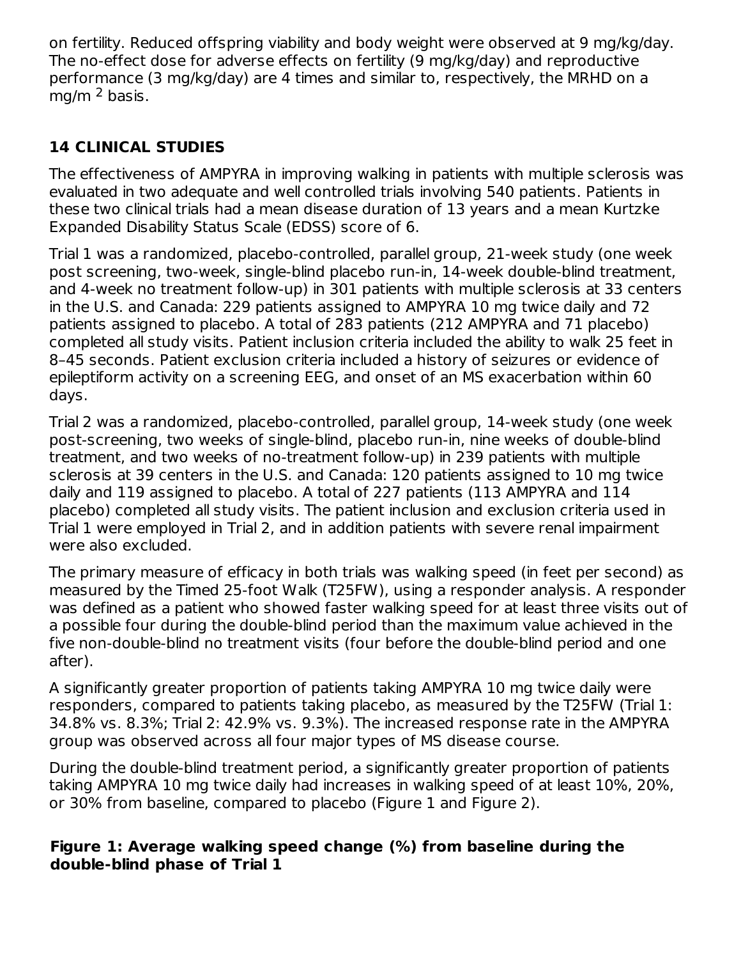on fertility. Reduced offspring viability and body weight were observed at 9 mg/kg/day. The no-effect dose for adverse effects on fertility (9 mg/kg/day) and reproductive performance (3 mg/kg/day) are 4 times and similar to, respectively, the MRHD on a mg/m <sup>2</sup> basis.

### **14 CLINICAL STUDIES**

The effectiveness of AMPYRA in improving walking in patients with multiple sclerosis was evaluated in two adequate and well controlled trials involving 540 patients. Patients in these two clinical trials had a mean disease duration of 13 years and a mean Kurtzke Expanded Disability Status Scale (EDSS) score of 6.

Trial 1 was a randomized, placebo-controlled, parallel group, 21-week study (one week post screening, two-week, single-blind placebo run-in, 14-week double-blind treatment, and 4-week no treatment follow-up) in 301 patients with multiple sclerosis at 33 centers in the U.S. and Canada: 229 patients assigned to AMPYRA 10 mg twice daily and 72 patients assigned to placebo. A total of 283 patients (212 AMPYRA and 71 placebo) completed all study visits. Patient inclusion criteria included the ability to walk 25 feet in 8–45 seconds. Patient exclusion criteria included a history of seizures or evidence of epileptiform activity on a screening EEG, and onset of an MS exacerbation within 60 days.

Trial 2 was a randomized, placebo-controlled, parallel group, 14-week study (one week post-screening, two weeks of single-blind, placebo run-in, nine weeks of double-blind treatment, and two weeks of no-treatment follow-up) in 239 patients with multiple sclerosis at 39 centers in the U.S. and Canada: 120 patients assigned to 10 mg twice daily and 119 assigned to placebo. A total of 227 patients (113 AMPYRA and 114 placebo) completed all study visits. The patient inclusion and exclusion criteria used in Trial 1 were employed in Trial 2, and in addition patients with severe renal impairment were also excluded.

The primary measure of efficacy in both trials was walking speed (in feet per second) as measured by the Timed 25-foot Walk (T25FW), using a responder analysis. A responder was defined as a patient who showed faster walking speed for at least three visits out of a possible four during the double-blind period than the maximum value achieved in the five non-double-blind no treatment visits (four before the double-blind period and one after).

A significantly greater proportion of patients taking AMPYRA 10 mg twice daily were responders, compared to patients taking placebo, as measured by the T25FW (Trial 1: 34.8% vs. 8.3%; Trial 2: 42.9% vs. 9.3%). The increased response rate in the AMPYRA group was observed across all four major types of MS disease course.

During the double-blind treatment period, a significantly greater proportion of patients taking AMPYRA 10 mg twice daily had increases in walking speed of at least 10%, 20%, or 30% from baseline, compared to placebo (Figure 1 and Figure 2).

#### **Figure 1: Average walking speed change (%) from baseline during the double-blind phase of Trial 1**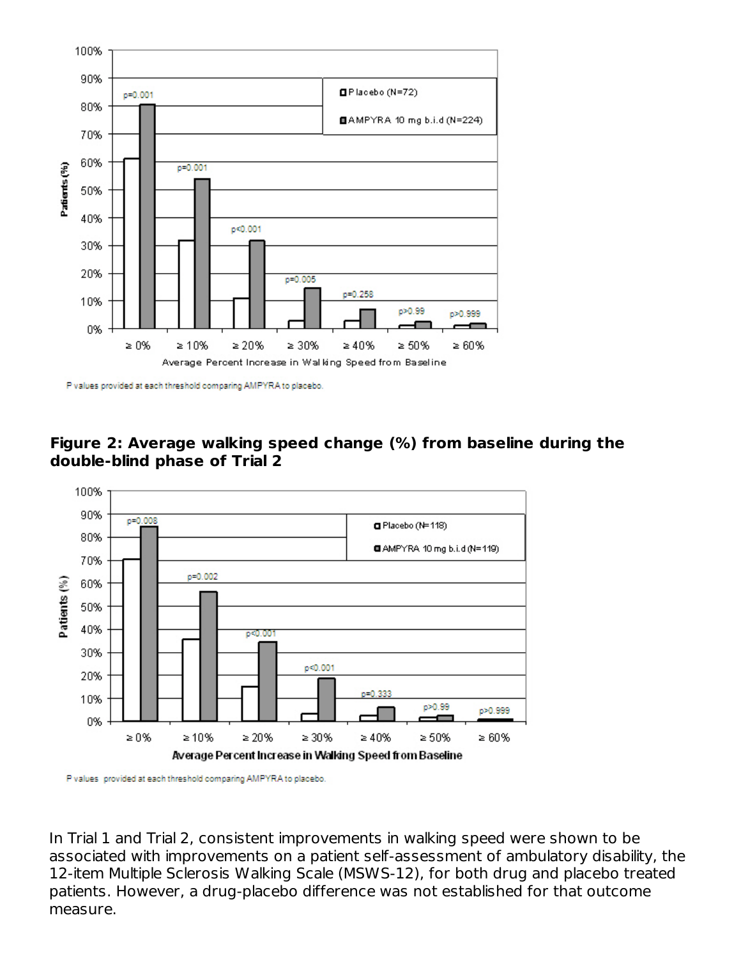

P values provided at each threshold comparing AMPYRA to placebo.





P values provided at each threshold comparing AMPYRA to placebo.

In Trial 1 and Trial 2, consistent improvements in walking speed were shown to be associated with improvements on a patient self-assessment of ambulatory disability, the 12-item Multiple Sclerosis Walking Scale (MSWS-12), for both drug and placebo treated patients. However, a drug-placebo difference was not established for that outcome measure.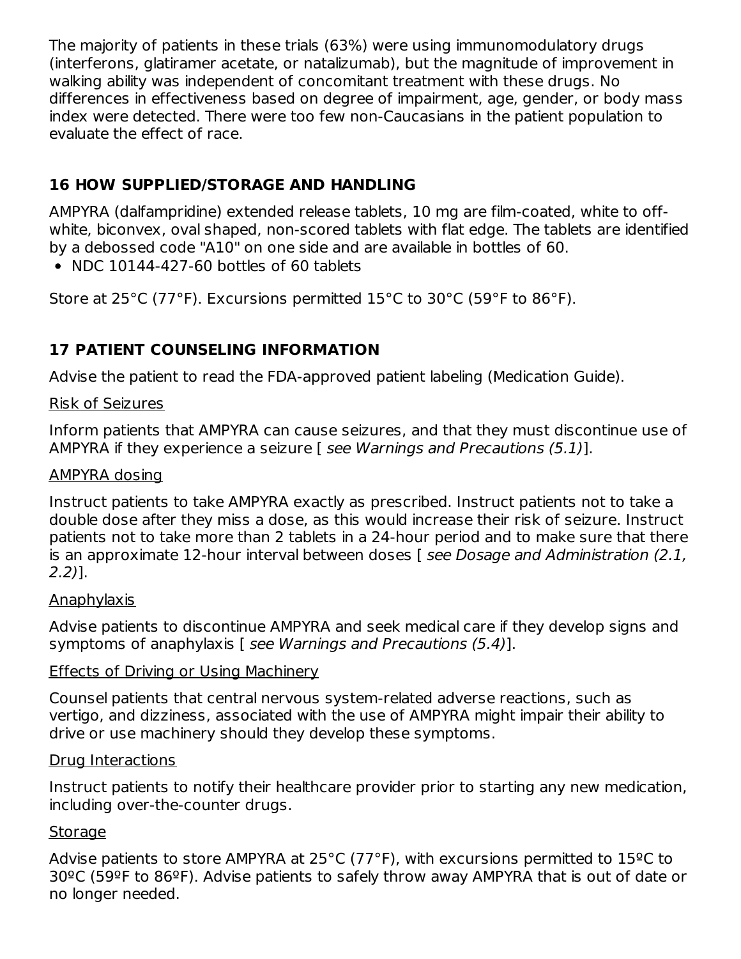The majority of patients in these trials (63%) were using immunomodulatory drugs (interferons, glatiramer acetate, or natalizumab), but the magnitude of improvement in walking ability was independent of concomitant treatment with these drugs. No differences in effectiveness based on degree of impairment, age, gender, or body mass index were detected. There were too few non-Caucasians in the patient population to evaluate the effect of race.

### **16 HOW SUPPLIED/STORAGE AND HANDLING**

AMPYRA (dalfampridine) extended release tablets, 10 mg are film-coated, white to offwhite, biconvex, oval shaped, non-scored tablets with flat edge. The tablets are identified by a debossed code "A10" on one side and are available in bottles of 60.

 $\bullet$  NDC 10144-427-60 bottles of 60 tablets

Store at 25°C (77°F). Excursions permitted 15°C to 30°C (59°F to 86°F).

### **17 PATIENT COUNSELING INFORMATION**

Advise the patient to read the FDA-approved patient labeling (Medication Guide).

#### Risk of Seizures

Inform patients that AMPYRA can cause seizures, and that they must discontinue use of AMPYRA if they experience a seizure [ see Warnings and Precautions (5.1)].

#### AMPYRA dosing

Instruct patients to take AMPYRA exactly as prescribed. Instruct patients not to take a double dose after they miss a dose, as this would increase their risk of seizure. Instruct patients not to take more than 2 tablets in a 24-hour period and to make sure that there is an approximate 12-hour interval between doses [ see Dosage and Administration (2.1, 2.2)].

#### Anaphylaxis

Advise patients to discontinue AMPYRA and seek medical care if they develop signs and symptoms of anaphylaxis [ see Warnings and Precautions (5.4)].

#### Effects of Driving or Using Machinery

Counsel patients that central nervous system-related adverse reactions, such as vertigo, and dizziness, associated with the use of AMPYRA might impair their ability to drive or use machinery should they develop these symptoms.

#### Drug Interactions

Instruct patients to notify their healthcare provider prior to starting any new medication, including over-the-counter drugs.

#### Storage

Advise patients to store AMPYRA at 25°C (77°F), with excursions permitted to 15ºC to 30ºC (59ºF to 86ºF). Advise patients to safely throw away AMPYRA that is out of date or no longer needed.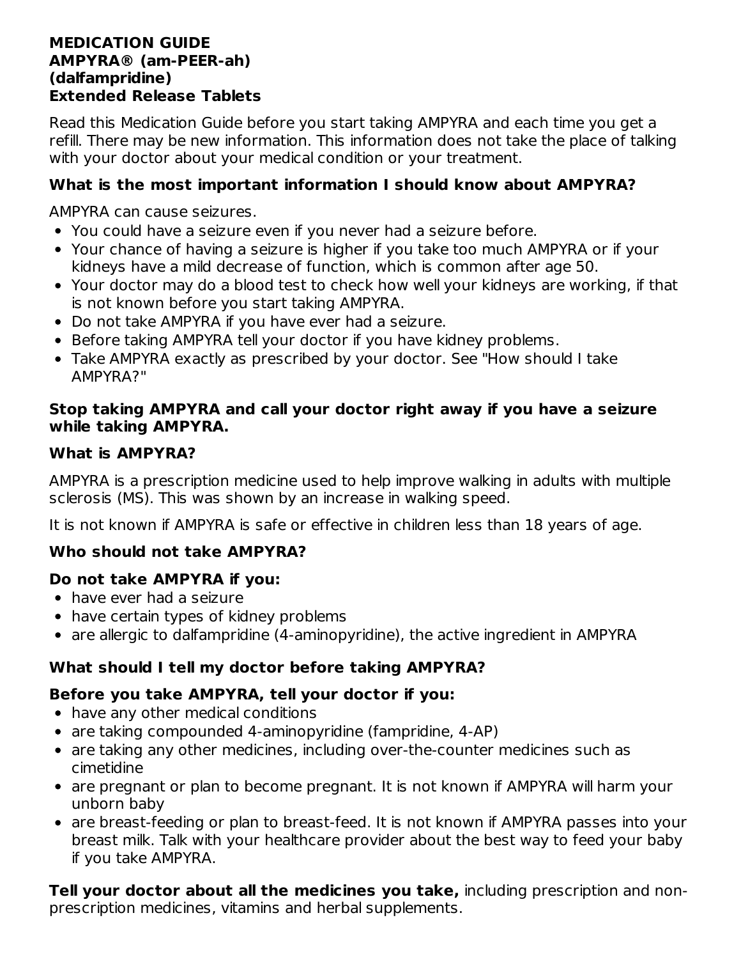#### **MEDICATION GUIDE AMPYRA® (am-PEER-ah) (dalfampridine) Extended Release Tablets**

Read this Medication Guide before you start taking AMPYRA and each time you get a refill. There may be new information. This information does not take the place of talking with your doctor about your medical condition or your treatment.

#### **What is the most important information I should know about AMPYRA?**

AMPYRA can cause seizures.

- You could have a seizure even if you never had a seizure before.
- Your chance of having a seizure is higher if you take too much AMPYRA or if your kidneys have a mild decrease of function, which is common after age 50.
- Your doctor may do a blood test to check how well your kidneys are working, if that is not known before you start taking AMPYRA.
- Do not take AMPYRA if you have ever had a seizure.
- Before taking AMPYRA tell your doctor if you have kidney problems.
- Take AMPYRA exactly as prescribed by your doctor. See "How should I take AMPYRA?"

#### **Stop taking AMPYRA and call your doctor right away if you have a seizure while taking AMPYRA.**

#### **What is AMPYRA?**

AMPYRA is a prescription medicine used to help improve walking in adults with multiple sclerosis (MS). This was shown by an increase in walking speed.

It is not known if AMPYRA is safe or effective in children less than 18 years of age.

### **Who should not take AMPYRA?**

#### **Do not take AMPYRA if you:**

- have ever had a seizure
- have certain types of kidney problems
- are allergic to dalfampridine (4-aminopyridine), the active ingredient in AMPYRA

### **What should I tell my doctor before taking AMPYRA?**

### **Before you take AMPYRA, tell your doctor if you:**

- have any other medical conditions
- are taking compounded 4-aminopyridine (fampridine, 4-AP)
- are taking any other medicines, including over-the-counter medicines such as cimetidine
- are pregnant or plan to become pregnant. It is not known if AMPYRA will harm your unborn baby
- are breast-feeding or plan to breast-feed. It is not known if AMPYRA passes into your breast milk. Talk with your healthcare provider about the best way to feed your baby if you take AMPYRA.

**Tell your doctor about all the medicines you take,** including prescription and nonprescription medicines, vitamins and herbal supplements.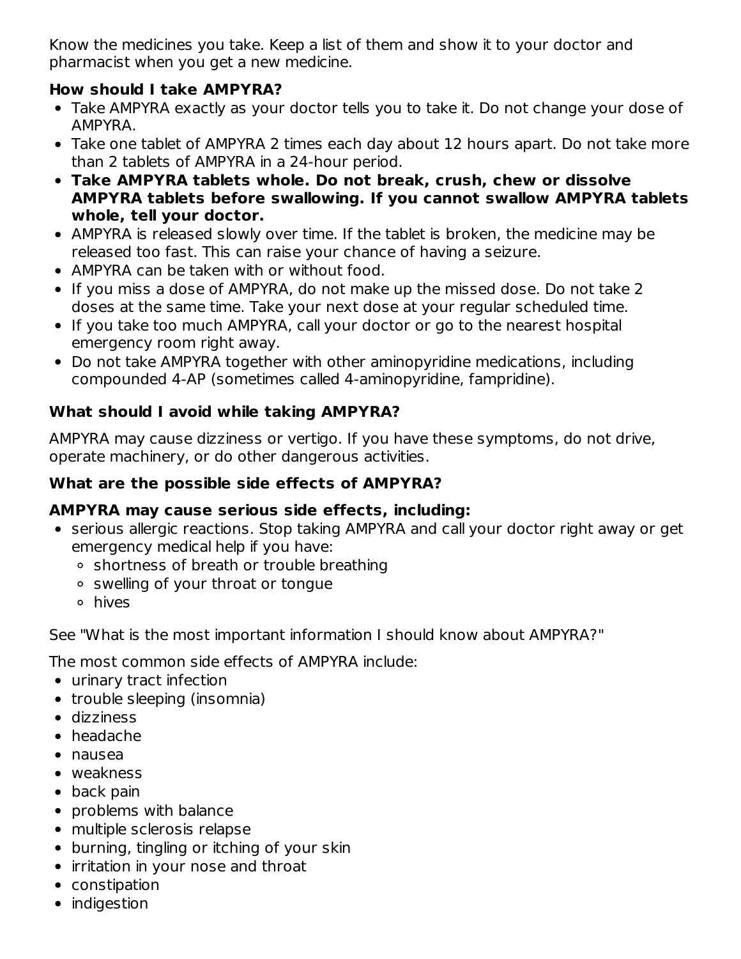Know the medicines you take. Keep a list of them and show it to your doctor and pharmacist when you get a new medicine.

### **How should I take AMPYRA?**

- Take AMPYRA exactly as your doctor tells you to take it. Do not change your dose of AMPYRA.
- Take one tablet of AMPYRA 2 times each day about 12 hours apart. Do not take more than 2 tablets of AMPYRA in a 24-hour period.
- **Take AMPYRA tablets whole. Do not break, crush, chew or dissolve AMPYRA tablets before swallowing. If you cannot swallow AMPYRA tablets whole, tell your doctor.**
- AMPYRA is released slowly over time. If the tablet is broken, the medicine may be released too fast. This can raise your chance of having a seizure.
- AMPYRA can be taken with or without food.
- If you miss a dose of AMPYRA, do not make up the missed dose. Do not take 2 doses at the same time. Take your next dose at your regular scheduled time.
- If you take too much AMPYRA, call your doctor or go to the nearest hospital emergency room right away.
- Do not take AMPYRA together with other aminopyridine medications, including compounded 4-AP (sometimes called 4-aminopyridine, fampridine).

## **What should I avoid while taking AMPYRA?**

AMPYRA may cause dizziness or vertigo. If you have these symptoms, do not drive, operate machinery, or do other dangerous activities.

### **What are the possible side effects of AMPYRA?**

### **AMPYRA may cause serious side effects, including:**

- serious allergic reactions. Stop taking AMPYRA and call your doctor right away or get emergency medical help if you have:
	- shortness of breath or trouble breathing
	- swelling of your throat or tongue
	- hives

See "What is the most important information I should know about AMPYRA?"

The most common side effects of AMPYRA include:

- urinary tract infection
- trouble sleeping (insomnia)
- dizziness
- headache
- nausea
- weakness
- back pain
- problems with balance
- multiple sclerosis relapse
- burning, tingling or itching of your skin
- irritation in your nose and throat
- constipation
- indigestion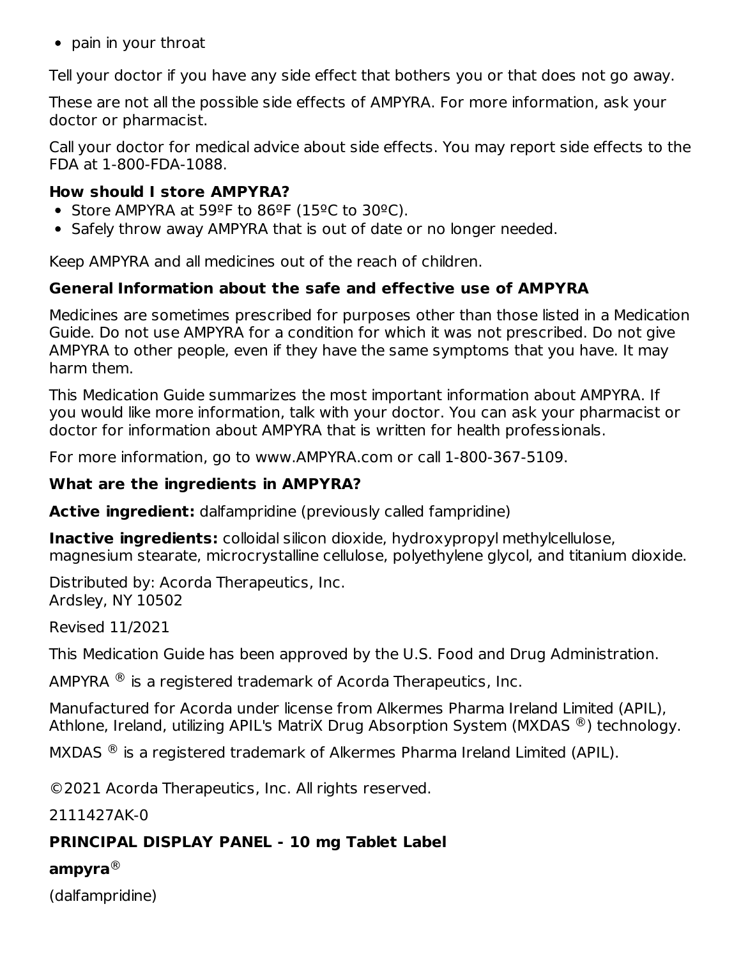• pain in your throat

Tell your doctor if you have any side effect that bothers you or that does not go away.

These are not all the possible side effects of AMPYRA. For more information, ask your doctor or pharmacist.

Call your doctor for medical advice about side effects. You may report side effects to the FDA at 1-800-FDA-1088.

#### **How should I store AMPYRA?**

- Store AMPYRA at 59ºF to 86ºF (15ºC to 30ºC).
- Safely throw away AMPYRA that is out of date or no longer needed.

Keep AMPYRA and all medicines out of the reach of children.

### **General Information about the safe and effective use of AMPYRA**

Medicines are sometimes prescribed for purposes other than those listed in a Medication Guide. Do not use AMPYRA for a condition for which it was not prescribed. Do not give AMPYRA to other people, even if they have the same symptoms that you have. It may harm them.

This Medication Guide summarizes the most important information about AMPYRA. If you would like more information, talk with your doctor. You can ask your pharmacist or doctor for information about AMPYRA that is written for health professionals.

For more information, go to www.AMPYRA.com or call 1-800-367-5109.

#### **What are the ingredients in AMPYRA?**

**Active ingredient:** dalfampridine (previously called fampridine)

**Inactive ingredients:** colloidal silicon dioxide, hydroxypropyl methylcellulose, magnesium stearate, microcrystalline cellulose, polyethylene glycol, and titanium dioxide.

Distributed by: Acorda Therapeutics, Inc. Ardsley, NY 10502

Revised 11/2021

This Medication Guide has been approved by the U.S. Food and Drug Administration.

AMPYRA  $^{\circledR}$  is a registered trademark of Acorda Therapeutics, Inc.

Manufactured for Acorda under license from Alkermes Pharma Ireland Limited (APIL), Athlone, Ireland, utilizing APIL's MatriX Drug Absorption System (MXDAS  $^\circledR$ ) technology.

MXDAS  $\textcircled{\tiny{\textcircled{\tiny{R}}}}$  is a registered trademark of Alkermes Pharma Ireland Limited (APIL).

©2021 Acorda Therapeutics, Inc. All rights reserved.

2111427AK-0

### **PRINCIPAL DISPLAY PANEL - 10 mg Tablet Label**

#### **ampyra** ®

(dalfampridine)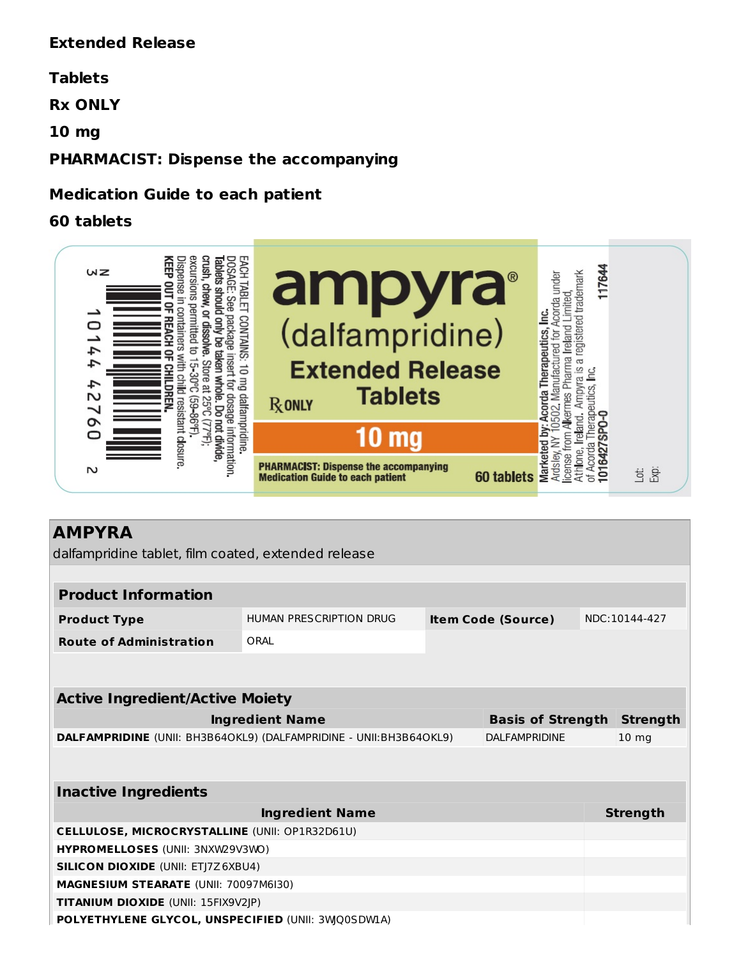#### **Extended Release**

#### **Tablets**

**Rx ONLY**

**10 mg**

#### **PHARMACIST: Dispense the accompanying**

#### **Medication Guide to each patient**

#### **60 tablets**



### **AMPYRA**

dalfampridine tablet, film coated, extended release

| <b>Product Information</b>     |                         |                           |               |  |  |  |
|--------------------------------|-------------------------|---------------------------|---------------|--|--|--|
| <b>Product Type</b>            | HUMAN PRESCRIPTION DRUG | <b>Item Code (Source)</b> | NDC:10144-427 |  |  |  |
| <b>Route of Administration</b> | ORAL                    |                           |               |  |  |  |

| <b>Active Ingredient/Active Moiety</b>                             |                                   |                 |  |  |  |
|--------------------------------------------------------------------|-----------------------------------|-----------------|--|--|--|
| Ingredient Name                                                    | <b>Basis of Strength Strength</b> |                 |  |  |  |
| DALFAMPRIDINE (UNII: BH3B64OKL9) (DALFAMPRIDINE - UNII:BH3B64OKL9) | DALFAMPRIDINE                     | $10 \text{ mg}$ |  |  |  |

| <b>Inactive Ingredients</b>                           |                 |  |  |  |
|-------------------------------------------------------|-----------------|--|--|--|
| <b>Ingredient Name</b>                                | <b>Strength</b> |  |  |  |
| <b>CELLULOSE, MICROCRYSTALLINE (UNII: OP1R32D61U)</b> |                 |  |  |  |
| <b>HYPROMELLOSES (UNII: 3NXW29V3WO)</b>               |                 |  |  |  |
| <b>SILICON DIOXIDE (UNII: ETJ7Z6XBU4)</b>             |                 |  |  |  |
| <b>MAGNESIUM STEARATE (UNII: 70097M6I30)</b>          |                 |  |  |  |
| <b>TITANIUM DIOXIDE (UNII: 15FIX9V2JP)</b>            |                 |  |  |  |
| POLYETHYLENE GLYCOL, UNSPECIFIED (UNII: 3WQ0SDWLA)    |                 |  |  |  |